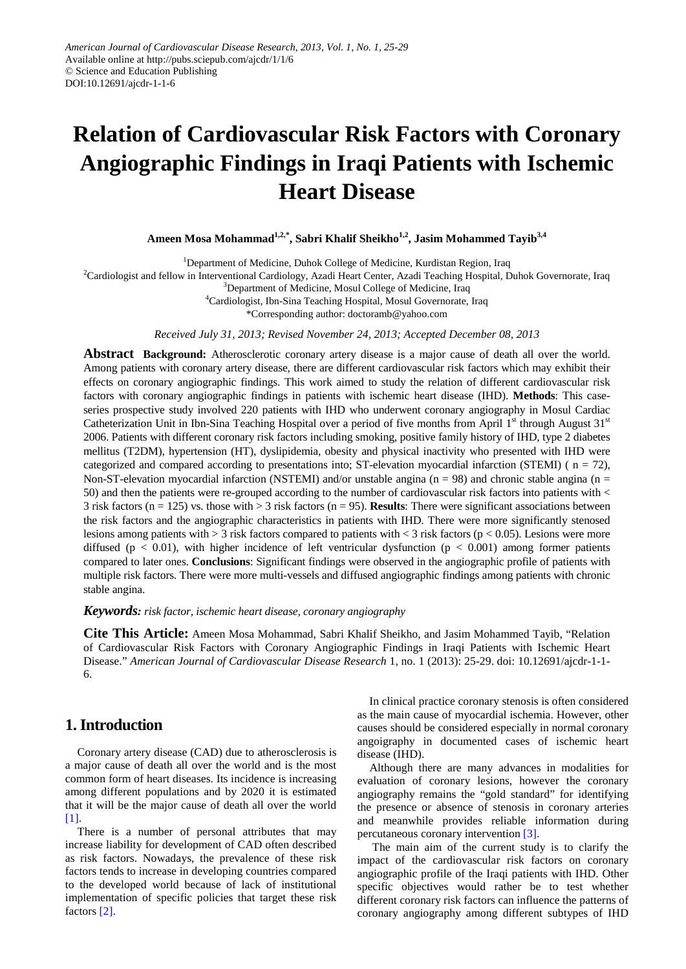# **Relation of Cardiovascular Risk Factors with Coronary Angiographic Findings in Iraqi Patients with Ischemic Heart Disease**

**Ameen Mosa Mohammad1,2,\* , Sabri Khalif Sheikho1,2, Jasim Mohammed Tayib3,4**

<sup>1</sup>Department of Medicine, Duhok College of Medicine, Kurdistan Region, Iraq

<sup>2</sup>Cardiologist and fellow in Interventional Cardiology, Azadi Heart Center, Azadi Teaching Hospital, Duhok Governorate, Iraq

<sup>3</sup>Department of Medicine, Mosul College of Medicine, Iraq

4 Cardiologist, Ibn-Sina Teaching Hospital, Mosul Governorate, Iraq

\*Corresponding author: doctoramb@yahoo.com

*Received July 31, 2013; Revised November 24, 2013; Accepted December 08, 2013*

**Abstract Background:** Atherosclerotic coronary artery disease is a major cause of death all over the world. Among patients with coronary artery disease, there are different cardiovascular risk factors which may exhibit their effects on coronary angiographic findings. This work aimed to study the relation of different cardiovascular risk factors with coronary angiographic findings in patients with ischemic heart disease (IHD). **Methods**: This caseseries prospective study involved 220 patients with IHD who underwent coronary angiography in Mosul Cardiac Catheterization Unit in Ibn-Sina Teaching Hospital over a period of five months from April  $1<sup>st</sup>$  through August  $31<sup>st</sup>$ 2006. Patients with different coronary risk factors including smoking, positive family history of IHD, type 2 diabetes mellitus (T2DM), hypertension (HT), dyslipidemia, obesity and physical inactivity who presented with IHD were categorized and compared according to presentations into:  $ST$ -elevation myocardial infarction (STEMI) ( $n = 72$ ), Non-ST-elevation myocardial infarction (NSTEMI) and/or unstable angina ( $n = 98$ ) and chronic stable angina ( $n =$ 50) and then the patients were re-grouped according to the number of cardiovascular risk factors into patients with < 3 risk factors (n = 125) vs. those with > 3 risk factors (n = 95). **Results**: There were significant associations between the risk factors and the angiographic characteristics in patients with IHD. There were more significantly stenosed lesions among patients with  $> 3$  risk factors compared to patients with  $< 3$  risk factors (p  $< 0.05$ ). Lesions were more diffused ( $p < 0.01$ ), with higher incidence of left ventricular dysfunction ( $p < 0.001$ ) among former patients compared to later ones. **Conclusions**: Significant findings were observed in the angiographic profile of patients with multiple risk factors. There were more multi-vessels and diffused angiographic findings among patients with chronic stable angina.

*Keywords: risk factor, ischemic heart disease, coronary angiography*

**Cite This Article:** Ameen Mosa Mohammad, Sabri Khalif Sheikho, and Jasim Mohammed Tayib, "Relation of Cardiovascular Risk Factors with Coronary Angiographic Findings in Iraqi Patients with Ischemic Heart Disease." *American Journal of Cardiovascular Disease Research* 1, no. 1 (2013): 25-29. doi: 10.12691/ajcdr-1-1- 6.

### **1. Introduction**

Coronary artery disease (CAD) due to atherosclerosis is a major cause of death all over the world and is the most common form of heart diseases. Its incidence is increasing among different populations and by 2020 it is estimated that it will be the major cause of death all over the world [\[1\].](#page-4-0)

There is a number of personal attributes that may increase liability for development of CAD often described as risk factors. Nowadays, the prevalence of these risk factors tends to increase in developing countries compared to the developed world because of lack of institutional implementation of specific policies that target these risk factors [\[2\].](#page-4-1)

In clinical practice coronary stenosis is often considered as the main cause of myocardial ischemia. However, other causes should be considered especially in normal coronary angoigraphy in documented cases of ischemic heart disease (IHD).

Although there are many advances in modalities for evaluation of coronary lesions, however the coronary angiography remains the "gold standard" for identifying the presence or absence of stenosis in coronary arteries and meanwhile provides reliable information during percutaneous coronary intervention [\[3\].](#page-4-2)

The main aim of the current study is to clarify the impact of the cardiovascular risk factors on coronary angiographic profile of the Iraqi patients with IHD. Other specific objectives would rather be to test whether different coronary risk factors can influence the patterns of coronary angiography among different subtypes of IHD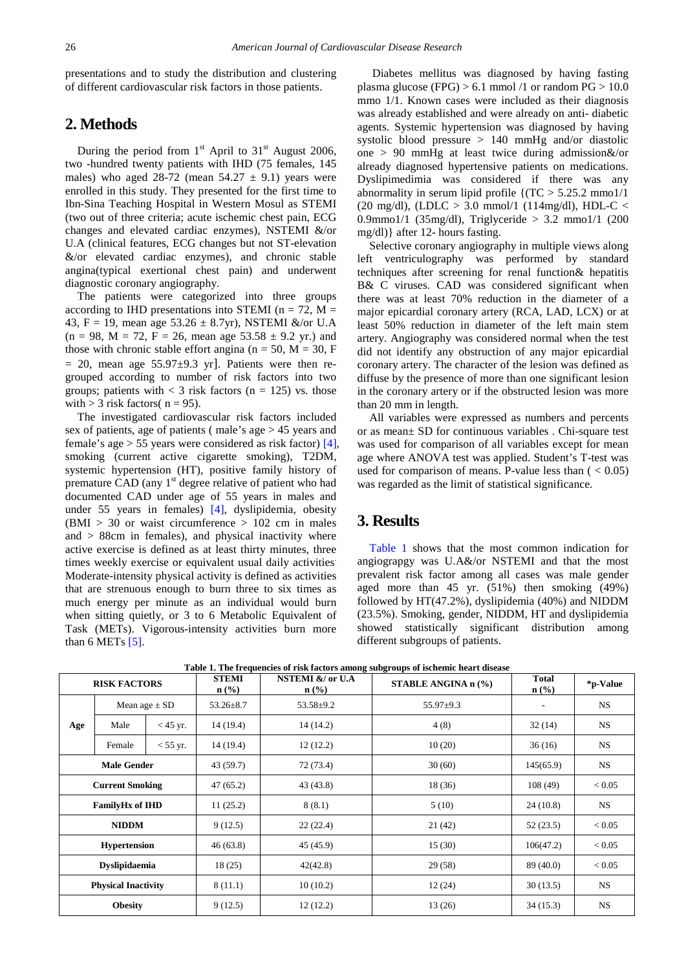presentations and to study the distribution and clustering of different cardiovascular risk factors in those patients.

#### **2. Methods**

During the period from  $1<sup>st</sup>$  April to  $31<sup>st</sup>$  August 2006, two -hundred twenty patients with IHD (75 females, 145 males) who aged 28-72 (mean  $54.27 \pm 9.1$ ) years were enrolled in this study. They presented for the first time to Ibn-Sina Teaching Hospital in Western Mosul as STEMI (two out of three criteria; acute ischemic chest pain, ECG changes and elevated cardiac enzymes), NSTEMI &/or U.A (clinical features, ECG changes but not ST-elevation &/or elevated cardiac enzymes), and chronic stable angina(typical exertional chest pain) and underwent diagnostic coronary angiography.

The patients were categorized into three groups according to IHD presentations into STEMI ( $n = 72$ , M = 43, F = 19, mean age  $53.26 \pm 8.7$ yr), NSTEMI &/or U.A  $(n = 98, M = 72, F = 26, \text{ mean age } 53.58 \pm 9.2 \text{ yr.})$  and those with chronic stable effort angina ( $n = 50$ ,  $M = 30$ , F  $= 20$ , mean age 55.97 $\pm$ 9.3 yr]. Patients were then regrouped according to number of risk factors into two groups; patients with  $<$  3 risk factors (n = 125) vs. those with  $>$  3 risk factors( n = 95).

The investigated cardiovascular risk factors included sex of patients, age of patients ( male's age > 45 years and female's age > 55 years were considered as risk factor) [\[4\],](#page-4-3) smoking (current active cigarette smoking), T2DM, systemic hypertension (HT), positive family history of premature CAD (any 1<sup>st</sup> degree relative of patient who had documented CAD under age of 55 years in males and under 55 years in females) [\[4\],](#page-4-3) dyslipidemia, obesity  $(BMI > 30$  or waist circumference  $> 102$  cm in males and > 88cm in females), and physical inactivity where active exercise is defined as at least thirty minutes, three times weekly exercise or equivalent usual daily activities. Moderate-intensity physical activity is defined as activities that are strenuous enough to burn three to six times as much energy per minute as an individual would burn when sitting quietly, or 3 to 6 Metabolic Equivalent of Task (METs). Vigorous-intensity activities burn more than 6 METs  $[5]$ .

Diabetes mellitus was diagnosed by having fasting plasma glucose (FPG)  $> 6.1$  mmol /1 or random PG  $> 10.0$ mmo 1/1. Known cases were included as their diagnosis was already established and were already on anti- diabetic agents. Systemic hypertension was diagnosed by having systolic blood pressure > 140 mmHg and/or diastolic one > 90 mmHg at least twice during admission&/or already diagnosed hypertensive patients on medications. Dyslipimedimia was considered if there was any abnormality in serum lipid profile  $\{(TC > 5.25.2 \text{ mm})/1\}$ (20 mg/dl), (LDLC  $> 3.0$  mmol/1 (114mg/dl), HDL-C  $<$ 0.9mmo1/1 (35mg/dl), Triglyceride > 3.2 mmo1/1 (200 mg/dl)} after 12- hours fasting.

Selective coronary angiography in multiple views along left ventriculography was performed by standard techniques after screening for renal function& hepatitis B& C viruses. CAD was considered significant when there was at least 70% reduction in the diameter of a major epicardial coronary artery (RCA, LAD, LCX) or at least 50% reduction in diameter of the left main stem artery. Angiography was considered normal when the test did not identify any obstruction of any major epicardial coronary artery. The character of the lesion was defined as diffuse by the presence of more than one significant lesion in the coronary artery or if the obstructed lesion was more than 20 mm in length.

All variables were expressed as numbers and percents or as mean± SD for continuous variables . Chi-square test was used for comparison of all variables except for mean age where ANOVA test was applied. Student's T-test was used for comparison of means. P-value less than  $( $0.05$ )$ was regarded as the limit of statistical significance.

#### **3. Results**

[Table 1](#page-1-0) shows that the most common indication for angiograpgy was U.A&/or NSTEMI and that the most prevalent risk factor among all cases was male gender aged more than 45 yr. (51%) then smoking (49%) followed by HT(47.2%), dyslipidemia (40%) and NIDDM (23.5%). Smoking, gender, NIDDM, HT and dyslipidemia showed statistically significant distribution among different subgroups of patients.

<span id="page-1-0"></span>

| <b>RISK FACTORS</b>        |                   |            | <b>STEMI</b><br>$n$ (%) | NSTEMI &/ or U.A<br>$\mathbf{n}(\%)$ | <b>STABLE ANGINA n (%)</b> | <b>Total</b><br>$\mathbf{n}(\%)$ | *p-Value  |
|----------------------------|-------------------|------------|-------------------------|--------------------------------------|----------------------------|----------------------------------|-----------|
|                            | Mean age $\pm$ SD |            | $53.26 \pm 8.7$         | $53.58 \pm 9.2$                      | $55.97+9.3$                |                                  | <b>NS</b> |
| Age                        | Male              | $<$ 45 yr. | 14(19.4)                | 14 (14.2)                            | 4(8)                       | 32(14)                           | <b>NS</b> |
|                            | Female            | $<$ 55 yr. | 14(19.4)                | 12(12.2)                             | 10(20)                     | 36(16)                           | <b>NS</b> |
| <b>Male Gender</b>         |                   |            | 43(59.7)                | 72 (73.4)                            | 30(60)                     | 145(65.9)                        | <b>NS</b> |
| <b>Current Smoking</b>     |                   |            | 47(65.2)                | 43 (43.8)                            | 18 (36)                    | 108(49)                          | < 0.05    |
| <b>FamilyHx of IHD</b>     |                   |            | 11(25.2)                | 8(8.1)                               | 5(10)                      | 24(10.8)                         | <b>NS</b> |
| <b>NIDDM</b>               |                   |            | 9(12.5)                 | 22(22.4)                             | 21(42)                     | 52(23.5)                         | < 0.05    |
| <b>Hypertension</b>        |                   | 46(63.8)   | 45 (45.9)               | 15(30)                               | 106(47.2)                  | < 0.05                           |           |
| <b>Dyslipidaemia</b>       |                   | 18(25)     | 42(42.8)                | 29(58)                               | 89 (40.0)                  | < 0.05                           |           |
| <b>Physical Inactivity</b> |                   | 8(11.1)    | 10(10.2)                | 12(24)                               | 30(13.5)                   | <b>NS</b>                        |           |
| <b>Obesity</b>             |                   | 9(12.5)    | 12(12.2)                | 13(26)                               | 34(15.3)                   | <b>NS</b>                        |           |

**Table 1. The frequencies of risk factors among subgroups of ischemic heart disease**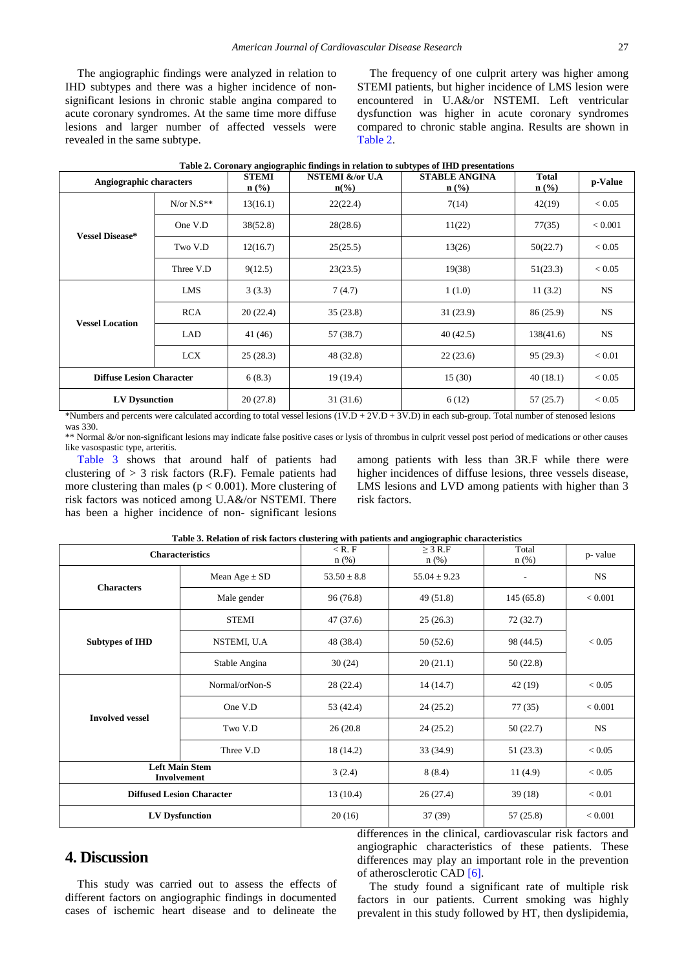The angiographic findings were analyzed in relation to IHD subtypes and there was a higher incidence of nonsignificant lesions in chronic stable angina compared to acute coronary syndromes. At the same time more diffuse lesions and larger number of affected vessels were revealed in the same subtype.

The frequency of one culprit artery was higher among STEMI patients, but higher incidence of LMS lesion were encountered in U.A&/or NSTEMI. Left ventricular dysfunction was higher in acute coronary syndromes compared to chronic stable angina. Results are shown in [Table 2.](#page-2-0)

<span id="page-2-0"></span>

| Angiographic characters         |              | <b>STEMI</b><br>$n$ (%) | NSTEMI &/or U.A<br>$n\frac{6}{6}$ | таря 2. Согонагу андрегарние пишнез ни генион to subtypes or тить ргезентация.<br><b>STABLE ANGINA</b><br>$n$ (%) | <b>Total</b><br>$n\left(\frac{0}{0}\right)$ | p-Value         |
|---------------------------------|--------------|-------------------------|-----------------------------------|-------------------------------------------------------------------------------------------------------------------|---------------------------------------------|-----------------|
|                                 | $N/or N.S**$ | 13(16.1)                | 22(22.4)                          | 7(14)                                                                                                             | 42(19)                                      | < 0.05          |
| <b>Vessel Disease*</b>          | One V.D      | 38(52.8)                | 28(28.6)                          | 11(22)                                                                                                            | 77(35)                                      | < 0.001         |
|                                 | Two V.D      | 12(16.7)                | 25(25.5)                          | 13(26)                                                                                                            | 50(22.7)                                    | < 0.05          |
|                                 | Three V.D    | 9(12.5)                 | 23(23.5)                          | 19(38)                                                                                                            | 51(23.3)                                    | < 0.05          |
|                                 | LMS          | 3(3.3)                  | 7(4.7)                            | 1(1.0)                                                                                                            | 11(3.2)                                     | <b>NS</b>       |
| <b>Vessel Location</b>          | <b>RCA</b>   | 20(22.4)                | 35(23.8)                          | 31(23.9)                                                                                                          | 86 (25.9)                                   | <b>NS</b>       |
|                                 | LAD          | 41 (46)                 | 57 (38.7)                         | 40(42.5)                                                                                                          | 138(41.6)                                   | <b>NS</b>       |
|                                 | <b>LCX</b>   | 25(28.3)                | 48 (32.8)                         | 22(23.6)                                                                                                          | 95(29.3)                                    | < 0.01          |
| <b>Diffuse Lesion Character</b> |              | 6(8.3)                  | 19 (19.4)                         | 15(30)                                                                                                            | 40(18.1)                                    | < 0.05          |
| <b>LV Dysunction</b>            |              | 20(27.8)                | 31(31.6)                          | 6(12)                                                                                                             | 57 (25.7)                                   | < 0.05<br>$  -$ |

|  |  | Table 2. Coronary angiographic findings in relation to subtypes of IHD presentations |  |
|--|--|--------------------------------------------------------------------------------------|--|
|  |  |                                                                                      |  |

\*Numbers and percents were calculated according to total vessel lesions (1V.D + 2V.D + 3V.D) in each sub-group. Total number of stenosed lesions was 330.

\*\* Normal &/or non-significant lesions may indicate false positive cases or lysis of thrombus in culprit vessel post period of medications or other causes like vasospastic type, arteritis.

[Table 3](#page-2-1) shows that around half of patients had clustering of  $> 3$  risk factors (R.F). Female patients had more clustering than males ( $p < 0.001$ ). More clustering of risk factors was noticed among U.A&/or NSTEMI. There has been a higher incidence of non- significant lesions

among patients with less than 3R.F while there were higher incidences of diffuse lesions, three vessels disease, LMS lesions and LVD among patients with higher than 3 risk factors.

<span id="page-2-1"></span>

|                                      | Table 5. Relation of FISK factors clustering with patients and anglographic characteristics<br><b>Characteristics</b> | $<$ R. F<br>$n$ (%) | $>$ 3 R.F<br>$n$ (%) | Total<br>$n$ (%) | p-value    |  |
|--------------------------------------|-----------------------------------------------------------------------------------------------------------------------|---------------------|----------------------|------------------|------------|--|
|                                      | Mean Age $\pm$ SD                                                                                                     | $53.50 \pm 8.8$     | $55.04 \pm 9.23$     |                  | <b>NS</b>  |  |
| <b>Characters</b>                    | Male gender                                                                                                           | 96(76.8)            | 49 (51.8)            | 145(65.8)        | < 0.001    |  |
|                                      | <b>STEMI</b>                                                                                                          | 47 (37.6)           | 25(26.3)             | 72(32.7)         | < 0.05     |  |
| <b>Subtypes of IHD</b>               | NSTEMI, U.A                                                                                                           | 48 (38.4)           | 50(52.6)             | 98 (44.5)        |            |  |
|                                      | Stable Angina                                                                                                         | 30(24)              | 20(21.1)             | 50(22.8)         |            |  |
|                                      | Normal/orNon-S                                                                                                        | 28(22.4)            | 14(14.7)             | 42(19)           | ${}< 0.05$ |  |
| <b>Involved vessel</b>               | One V.D                                                                                                               | 53 (42.4)           | 24(25.2)             | 77(35)           | < 0.001    |  |
|                                      | Two V.D                                                                                                               | 26 (20.8)           | 24(25.2)             | 50(22.7)         | <b>NS</b>  |  |
|                                      | Three V.D                                                                                                             | 18 (14.2)           | 33 (34.9)            | 51(23.3)         | ${}< 0.05$ |  |
| <b>Left Main Stem</b><br>Involvement |                                                                                                                       | 3(2.4)              | 8(8.4)               | 11(4.9)          | < 0.05     |  |
|                                      | <b>Diffused Lesion Character</b>                                                                                      | 13(10.4)            | 26(27.4)             | 39(18)           | < 0.01     |  |
| <b>LV Dysfunction</b>                |                                                                                                                       | 20(16)              | 37 (39)              | 57 (25.8)        | < 0.001    |  |

#### **Table 3. Relation of risk factors clustering with patients and angiographic characteristics**

## **4. Discussion**

This study was carried out to assess the effects of different factors on angiographic findings in documented cases of ischemic heart disease and to delineate the

differences in the clinical, cardiovascular risk factors and angiographic characteristics of these patients. These differences may play an important role in the prevention of atherosclerotic CAD [\[6\].](#page-4-5)

The study found a significant rate of multiple risk factors in our patients. Current smoking was highly prevalent in this study followed by HT, then dyslipidemia,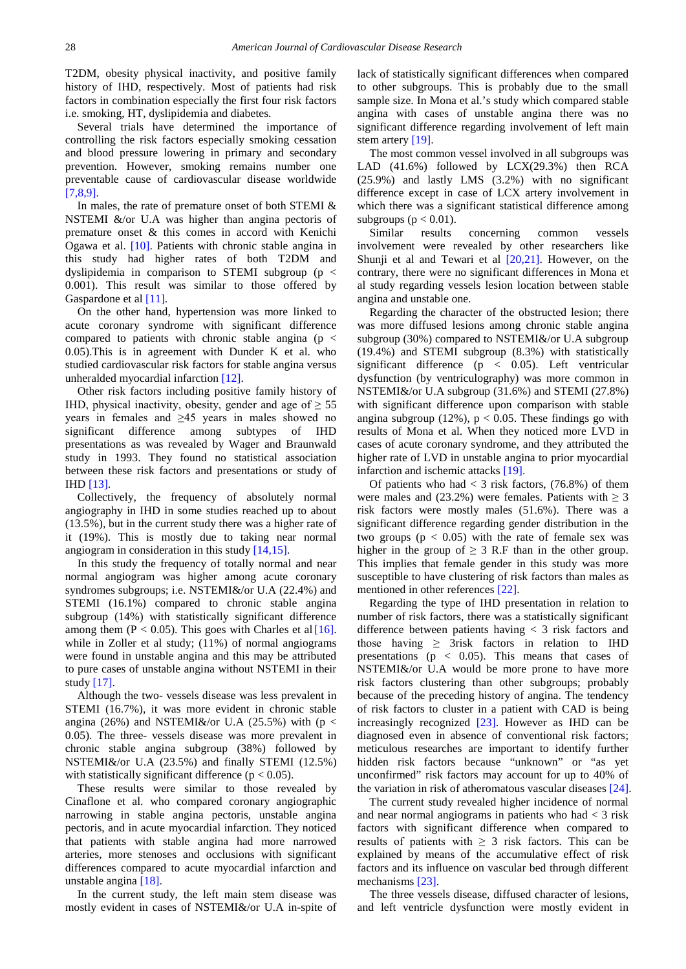T2DM, obesity physical inactivity, and positive family history of IHD, respectively. Most of patients had risk factors in combination especially the first four risk factors i.e. smoking, HT, dyslipidemia and diabetes.

Several trials have determined the importance of controlling the risk factors especially smoking cessation and blood pressure lowering in primary and secondary prevention. However, smoking remains number one preventable cause of cardiovascular disease worldwide [\[7,8,9\].](#page-4-6)

In males, the rate of premature onset of both STEMI & NSTEMI &/or U.A was higher than angina pectoris of premature onset & this comes in accord with Kenichi Ogawa et al. [\[10\].](#page-4-7) Patients with chronic stable angina in this study had higher rates of both T2DM and dyslipidemia in comparison to STEMI subgroup (p < 0.001). This result was similar to those offered by Gaspardone et al [\[11\].](#page-4-8)

On the other hand, hypertension was more linked to acute coronary syndrome with significant difference compared to patients with chronic stable angina ( $p \leq$ 0.05).This is in agreement with Dunder K et al. who studied cardiovascular risk factors for stable angina versus unheralded myocardial infarction [\[12\].](#page-4-9)

Other risk factors including positive family history of IHD, physical inactivity, obesity, gender and age of  $\geq$  55 years in females and ≥45 years in males showed no significant difference among subtypes of IHD presentations as was revealed by Wager and Braunwald study in 1993. They found no statistical association between these risk factors and presentations or study of IHD [\[13\].](#page-4-10)

Collectively, the frequency of absolutely normal angiography in IHD in some studies reached up to about (13.5%), but in the current study there was a higher rate of it (19%). This is mostly due to taking near normal angiogram in consideration in this study [\[14,15\].](#page-4-11)

In this study the frequency of totally normal and near normal angiogram was higher among acute coronary syndromes subgroups; i.e. NSTEMI&/or U.A (22.4%) and STEMI (16.1%) compared to chronic stable angina subgroup (14%) with statistically significant difference among them ( $P < 0.05$ ). This goes with Charles et al [16]. while in Zoller et al study; (11%) of normal angiograms were found in unstable angina and this may be attributed to pure cases of unstable angina without NSTEMI in their study [\[17\].](#page-4-13)

Although the two- vessels disease was less prevalent in STEMI (16.7%), it was more evident in chronic stable angina (26%) and NSTEMI&/or U.A (25.5%) with ( $p <$ 0.05). The three- vessels disease was more prevalent in chronic stable angina subgroup (38%) followed by NSTEMI&/or U.A (23.5%) and finally STEMI (12.5%) with statistically significant difference ( $p < 0.05$ ).

These results were similar to those revealed by Cinaflone et al. who compared coronary angiographic narrowing in stable angina pectoris, unstable angina pectoris, and in acute myocardial infarction. They noticed that patients with stable angina had more narrowed arteries, more stenoses and occlusions with significant differences compared to acute myocardial infarction and unstable angina [\[18\].](#page-4-14)

In the current study, the left main stem disease was mostly evident in cases of NSTEMI&/or U.A in-spite of lack of statistically significant differences when compared to other subgroups. This is probably due to the small sample size. In Mona et al.'s study which compared stable angina with cases of unstable angina there was no significant difference regarding involvement of left main stem artery [\[19\].](#page-4-15)

The most common vessel involved in all subgroups was LAD (41.6%) followed by LCX(29.3%) then RCA (25.9%) and lastly LMS (3.2%) with no significant difference except in case of LCX artery involvement in which there was a significant statistical difference among subgroups ( $p < 0.01$ ).

Similar results concerning common vessels involvement were revealed by other researchers like Shunji et al and Tewari et al [\[20,21\].](#page-4-16) However, on the contrary, there were no significant differences in Mona et al study regarding vessels lesion location between stable angina and unstable one.

Regarding the character of the obstructed lesion; there was more diffused lesions among chronic stable angina subgroup (30%) compared to NSTEMI&/or U.A subgroup (19.4%) and STEMI subgroup (8.3%) with statistically significant difference ( $p \lt 0.05$ ). Left ventricular dysfunction (by ventriculography) was more common in NSTEMI&/or U.A subgroup (31.6%) and STEMI (27.8%) with significant difference upon comparison with stable angina subgroup (12%),  $p < 0.05$ . These findings go with results of Mona et al. When they noticed more LVD in cases of acute coronary syndrome, and they attributed the higher rate of LVD in unstable angina to prior myocardial infarction and ischemic attacks [\[19\].](#page-4-15)

Of patients who had  $<$  3 risk factors, (76.8%) of them were males and (23.2%) were females. Patients with  $\geq$  3 risk factors were mostly males (51.6%). There was a significant difference regarding gender distribution in the two groups ( $p < 0.05$ ) with the rate of female sex was higher in the group of  $\geq$  3 R.F than in the other group. This implies that female gender in this study was more susceptible to have clustering of risk factors than males as mentioned in other references [\[22\].](#page-4-17)

Regarding the type of IHD presentation in relation to number of risk factors, there was a statistically significant difference between patients having < 3 risk factors and those having  $\geq$  3risk factors in relation to IHD presentations ( $p \, < \, 0.05$ ). This means that cases of NSTEMI&/or U.A would be more prone to have more risk factors clustering than other subgroups; probably because of the preceding history of angina. The tendency of risk factors to cluster in a patient with CAD is being increasingly recognized [\[23\].](#page-4-18) However as IHD can be diagnosed even in absence of conventional risk factors; meticulous researches are important to identify further hidden risk factors because "unknown" or "as yet unconfirmed" risk factors may account for up to 40% of the variation in risk of atheromatous vascular diseases [\[24\].](#page-4-19)

The current study revealed higher incidence of normal and near normal angiograms in patients who had  $<$  3 risk factors with significant difference when compared to results of patients with  $\geq$  3 risk factors. This can be explained by means of the accumulative effect of risk factors and its influence on vascular bed through different mechanisms [\[23\].](#page-4-18)

The three vessels disease, diffused character of lesions, and left ventricle dysfunction were mostly evident in